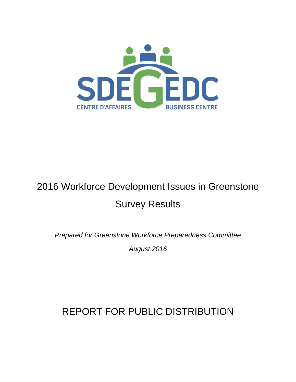

# 2016 Workforce Development Issues in Greenstone Survey Results

*Prepared for Greenstone Workforce Preparedness Committee August 2016*

## REPORT FOR PUBLIC DISTRIBUTION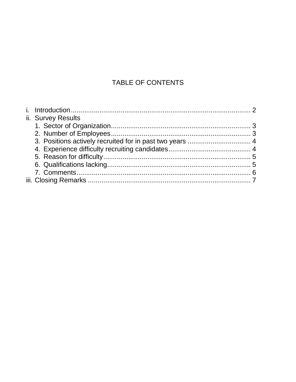### TABLE OF CONTENTS

|  | ii. Survey Results |  |
|--|--------------------|--|
|  |                    |  |
|  |                    |  |
|  |                    |  |
|  |                    |  |
|  |                    |  |
|  |                    |  |
|  |                    |  |
|  |                    |  |
|  |                    |  |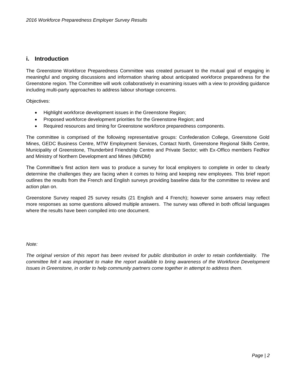#### **i. Introduction**

The Greenstone Workforce Preparedness Committee was created pursuant to the mutual goal of engaging in meaningful and ongoing discussions and information sharing about anticipated workforce preparedness for the Greenstone region. The Committee will work collaboratively in examining issues with a view to providing guidance including multi-party approaches to address labour shortage concerns.

Objectives:

- Highlight workforce development issues in the Greenstone Region;
- Proposed workforce development priorities for the Greenstone Region; and
- Required resources and timing for Greenstone workforce preparedness components.

The committee is comprised of the following representative groups: Confederation College, Greenstone Gold Mines, GEDC Business Centre, MTW Employment Services, Contact North, Greenstone Regional Skills Centre, Municipality of Greenstone, Thunderbird Friendship Centre and Private Sector; with Ex-Offico members FedNor and Ministry of Northern Development and Mines (MNDM)

The Committee's first action item was to produce a survey for local employers to complete in order to clearly determine the challenges they are facing when it comes to hiring and keeping new employees. This brief report outlines the results from the French and English surveys providing baseline data for the committee to review and action plan on.

Greenstone Survey reaped 25 survey results (21 English and 4 French); however some answers may reflect more responses as some questions allowed multiple answers. The survey was offered in both official languages where the results have been compiled into one document.

*Note:* 

*The original version of this report has been revised for public distribution in order to retain confidentiality. The committee felt it was important to make the report available to bring awareness of the Workforce Development Issues in Greenstone, in order to help community partners come together in attempt to address them.*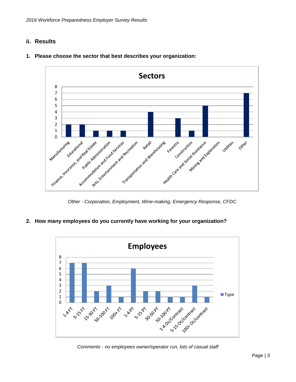#### **ii. Results**



**1. Please choose the sector that best describes your organization:**

*Other - Corporation, Employment, Wine-making, Emergency Response, CFDC*

**2. How many employees do you currently have working for your organization?**



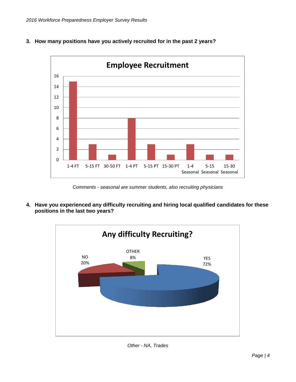

#### **3. How many positions have you actively recruited for in the past 2 years?**

*Comments - seasonal are summer students, also recruiting physicians*

**4. Have you experienced any difficulty recruiting and hiring local qualified candidates for these positions in the last two years?**

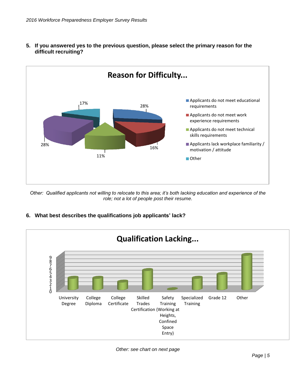

**5. If you answered yes to the previous question, please select the primary reason for the difficult recruiting?**

*Other: Qualified applicants not willing to relocate to this area; it's both lacking education and experience of the role; not a lot of people post their resume.*



#### **6. What best describes the qualifications job applicants' lack?**

*Other: see chart on next page*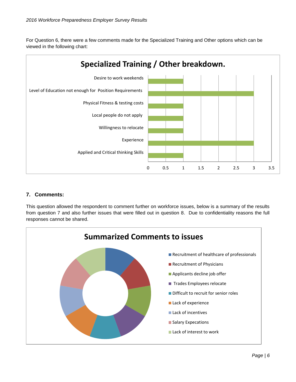For Question 6, there were a few comments made for the Specialized Training and Other options which can be viewed in the following chart:



#### **7. Comments:**

This question allowed the respondent to comment further on workforce issues, below is a summary of the results from question 7 and also further issues that were filled out in question 8. Due to confidentiality reasons the full responses cannot be shared.